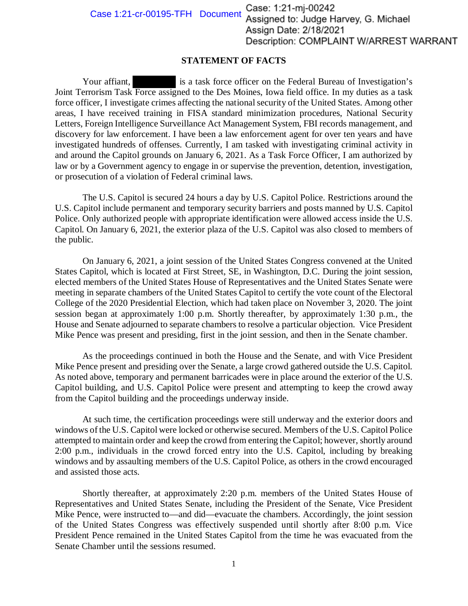Case: 1:21-mj-00242<br>Assigned to: Judge Harvey, G. Michael Case 1:21-cr-00195-TFH Document Assign Date: 2/18/2021 Description: COMPLAINT W/ARREST WARRANT

## **STATEMENT OF FACTS**

Your affiant, is a task force officer on the Federal Bureau of Investigation's Joint Terrorism Task Force assigned to the Des Moines, Iowa field office. In my duties as a task force officer, I investigate crimes affecting the national security of the United States. Among other areas, I have received training in FISA standard minimization procedures, National Security Letters, Foreign Intelligence Surveillance Act Management System, FBI records management, and discovery for law enforcement. I have been a law enforcement agent for over ten years and have investigated hundreds of offenses. Currently, I am tasked with investigating criminal activity in and around the Capitol grounds on January 6, 2021. As a Task Force Officer, I am authorized by law or by a Government agency to engage in or supervise the prevention, detention, investigation, or prosecution of a violation of Federal criminal laws.

The U.S. Capitol is secured 24 hours a day by U.S. Capitol Police. Restrictions around the U.S. Capitol include permanent and temporary security barriers and posts manned by U.S. Capitol Police. Only authorized people with appropriate identification were allowed access inside the U.S. Capitol. On January 6, 2021, the exterior plaza of the U.S. Capitol was also closed to members of the public.

On January 6, 2021, a joint session of the United States Congress convened at the United States Capitol, which is located at First Street, SE, in Washington, D.C. During the joint session, elected members of the United States House of Representatives and the United States Senate were meeting in separate chambers of the United States Capitol to certify the vote count of the Electoral College of the 2020 Presidential Election, which had taken place on November 3, 2020. The joint session began at approximately 1:00 p.m. Shortly thereafter, by approximately 1:30 p.m., the House and Senate adjourned to separate chambers to resolve a particular objection. Vice President Mike Pence was present and presiding, first in the joint session, and then in the Senate chamber.

ence was present and presiding, first in the joint session, and then in the Senate chamber.<br>As the proceedings continued in both the House and the Senate, and with Vice President Mike Pence present and presiding over the Senate, a large crowd gathered outside the U.S. Capitol. As noted above, temporary and permanent barricades were in place around the exterior of the U.S. Capitol building, and U.S. Capitol Police were present and attempting to keep the crowd away from the Capitol building and the proceedings underway inside.

At such time, the certification proceedings were still underway and the exterior doors and windows of the U.S. Capitol were locked or otherwise secured. Members of the U.S. Capitol Police attempted to maintain order and keep the crowd from entering the Capitol; however, shortly around 2:00 p.m., individuals in the crowd forced entry into the U.S. Capitol, including by breaking windows and by assaulting members of the U.S. Capitol Police, as others in the crowd encouraged and assisted those acts.

Shortly thereafter, at approximately 2:20 p.m. members of the United States House of Representatives and United States Senate, including the President of the Senate, Vice President Mike Pence, were instructed to—and did—evacuate the chambers. Accordingly, the joint session of the United States Congress was effectively suspended until shortly after 8:00 p.m. Vice President Pence remained in the United States Capitol from the time he was evacuated from the Senate Chamber until the sessions resumed.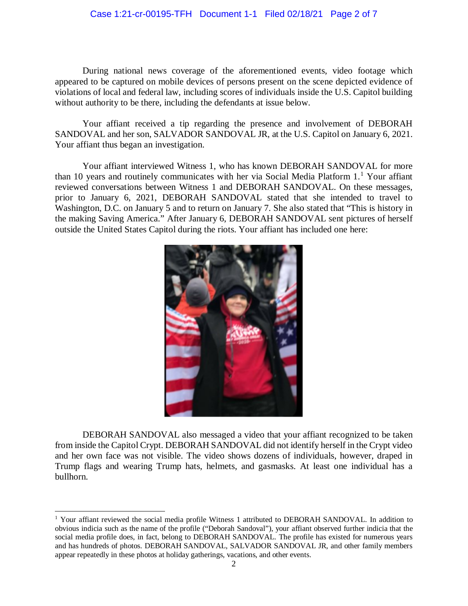## Case 1:21-cr-00195-TFH Document 1-1 Filed 02/18/21 Page 2 of 7

 appeared to be captured on mobile devices of persons present on the scene depicted evidence of violations of local and federal law, including scores of individuals inside the U.S. Capitol building During national news coverage of the aforementioned events, video footage which without authority to be there, including the defendants at issue below.

 SANDOVAL and her son, SALVADOR SANDOVAL JR, at the U.S. Capitol on January 6, 2021. Your affiant received a tip regarding the presence and involvement of DEBORAH Your affiant thus began an investigation.

than 10 years and routinely communicates with her via Social Media Platform 1.<sup>1</sup> Your affiant prior to January 6, 2021, DEBORAH SANDOVAL stated that she intended to travel to Your affiant interviewed Witness 1, who has known DEBORAH SANDOVAL for more reviewed conversations between Witness 1 and DEBORAH SANDOVAL. On these messages, Washington, D.C. on January 5 and to return on January 7. She also stated that "This is history in the making Saving America." After January 6, DEBORAH SANDOVAL sent pictures of herself outside the United States Capitol during the riots. Your affiant has included one here:



 from inside the Capitol Crypt. DEBORAH SANDOVAL did not identify herself in the Crypt video and her own face was not visible. The video shows dozens of individuals, however, draped in Trump flags and wearing Trump hats, helmets, and gasmasks. At least one individual has a DEBORAH SANDOVAL also messaged a video that your affiant recognized to be taken bullhorn.

 $\overline{a}$ 

<sup>&</sup>lt;sup>1</sup> Your affiant reviewed the social media profile Witness 1 attributed to DEBORAH SANDOVAL. In addition to obvious indicia such as the name of the profile ("Deborah Sandoval"), your affiant observed further indicia that the and has hundreds of photos. DEBORAH SANDOVAL, SALVADOR SANDOVAL JR, and other family members social media profile does, in fact, belong to DEBORAH SANDOVAL. The profile has existed for numerous years appear repeatedly in these photos at holiday gatherings, vacations, and other events.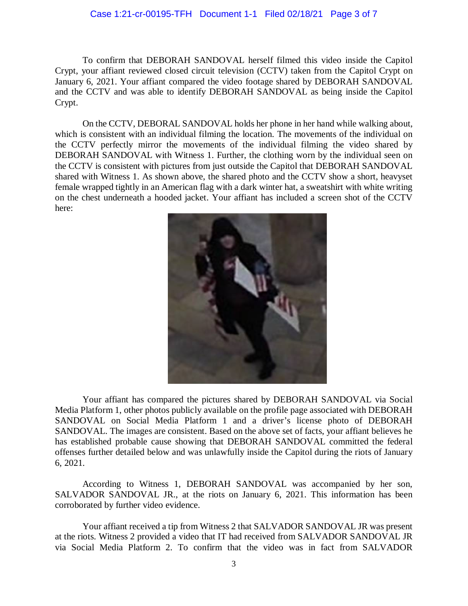## Case 1:21-cr-00195-TFH Document 1-1 Filed 02/18/21 Page 3 of 7

To confirm that DEBORAH SANDOVAL herself filmed this video inside the Capitol Crypt, your affiant reviewed closed circuit television (CCTV) taken from the Capitol Crypt on January 6, 2021. Your affiant compared the video footage shared by DEBORAH SANDOVAL and the CCTV and was able to identify DEBORAH SANDOVAL as being inside the Capitol Crypt.

 On the CCTV, DEBORAL SANDOVAL holds her phone in her hand while walking about, the CCTV perfectly mirror the movements of the individual filming the video shared by DEBORAH SANDOVAL with Witness 1. Further, the clothing worn by the individual seen on the CCTV is consistent with pictures from just outside the Capitol that DEBORAH SANDOVAL female wrapped tightly in an American flag with a dark winter hat, a sweatshirt with white writing on the chest underneath a hooded jacket. Your affiant has included a screen shot of the CCTV which is consistent with an individual filming the location. The movements of the individual on shared with Witness 1. As shown above, the shared photo and the CCTV show a short, heavyset here:



 Media Platform 1, other photos publicly available on the profile page associated with DEBORAH SANDOVAL. The images are consistent. Based on the above set of facts, your affiant believes he offenses further detailed below and was unlawfully inside the Capitol during the riots of January  $6, 2021.$ Your affiant has compared the pictures shared by DEBORAH SANDOVAL via Social SANDOVAL on Social Media Platform 1 and a driver's license photo of DEBORAH has established probable cause showing that DEBORAH SANDOVAL committed the federal

 6, 2021. According to Witness 1, DEBORAH SANDOVAL was accompanied by her son, SALVADOR SANDOVAL JR., at the riots on January 6, 2021. This information has been corroborated by further video evidence.

 Your affiant received a tip from Witness 2 that SALVADOR SANDOVAL JR was present via Social Media Platform 2. To confirm that the video was in fact from SALVADOR at the riots. Witness 2 provided a video that IT had received from SALVADOR SANDOVAL JR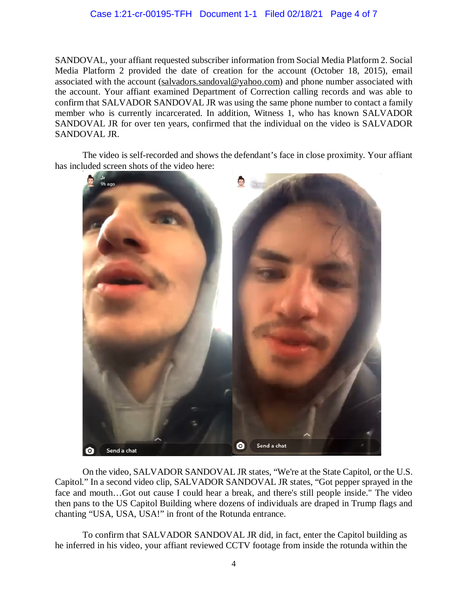## Case 1:21-cr-00195-TFH Document 1-1 Filed 02/18/21 Page 4 of 7

 SANDOVAL, your affiant requested subscriber information from Social Media Platform 2. Social Media Platform 2 provided the date of creation for the account (October 18, 2015), email member who is currently incarcerated. In addition, Witness 1, who has known SALVADOR SANDOVAL JR for over ten years, confirmed that the individual on the video is SALVADOR associated with the account [\(salvadors.sandoval@yahoo.com](mailto:salvadors.sandoval@yahoo.com)) and phone number associated with the account. Your affiant examined Department of Correction calling records and was able to confirm that SALVADOR SANDOVAL JR was using the same phone number to contact a family SANDOVAL JR.

The video is self-recorded and shows the defendant's face in close proximity. Your affiant has included screen shots of the video here:



 then pans to the US Capitol Building where dozens of individuals are draped in Trump flags and On the video, SALVADOR SANDOVAL JR states, "We're at the State Capitol, or the U.S. Capitol." In a second video clip, SALVADOR SANDOVAL JR states, "Got pepper sprayed in the face and mouth…Got out cause I could hear a break, and there's still people inside." The video chanting "USA, USA, USA!" in front of the Rotunda entrance.

 To confirm that SALVADOR SANDOVAL JR did, in fact, enter the Capitol building as he inferred in his video, your affiant reviewed CCTV footage from inside the rotunda within the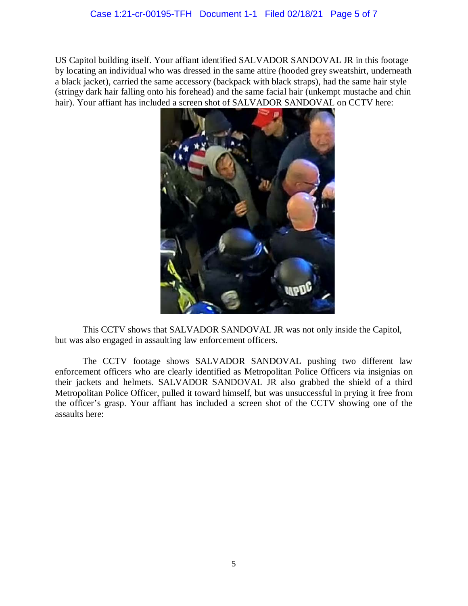US Capitol building itself. Your affiant identified SALVADOR SANDOVAL JR in this footage (stringy dark hair falling onto his forehead) and the same facial hair (unkempt mustache and chin hair). Your affiant has included a screen shot of SALVADOR SANDOVAL on CCTV here: by locating an individual who was dressed in the same attire (hooded grey sweatshirt, underneath a black jacket), carried the same accessory (backpack with black straps), had the same hair style



 This CCTV shows that SALVADOR SANDOVAL JR was not only inside the Capitol, but was also engaged in assaulting law enforcement officers.

 enforcement officers who are clearly identified as Metropolitan Police Officers via insignias on Metropolitan Police Officer, pulled it toward himself, but was unsuccessful in prying it free from The CCTV footage shows SALVADOR SANDOVAL pushing two different law their jackets and helmets. SALVADOR SANDOVAL JR also grabbed the shield of a third the officer's grasp. Your affiant has included a screen shot of the CCTV showing one of the assaults here: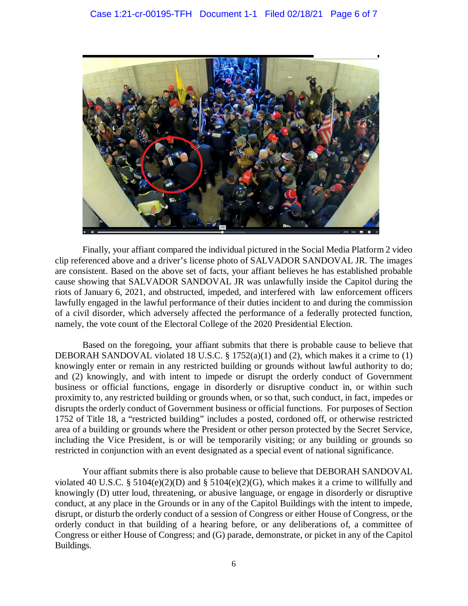

 are consistent. Based on the above set of facts, your affiant believes he has established probable cause showing that SALVADOR SANDOVAL JR was unlawfully inside the Capitol during the riots of January 6, 2021, and obstructed, impeded, and interfered with law enforcement officers lawfully engaged in the lawful performance of their duties incident to and during the commission namely, the vote count of the Electoral College of the 2020 Presidential Election. Finally, your affiant compared the individual pictured in the Social Media Platform 2 video clip referenced above and a driver's license photo of SALVADOR SANDOVAL JR. The images of a civil disorder, which adversely affected the performance of a federally protected function,

DEBORAH SANDOVAL violated 18 U.S.C. § 1752(a)(1) and (2), which makes it a crime to (1) knowingly enter or remain in any restricted building or grounds without lawful authority to do; and (2) knowingly, and with intent to impede or disrupt the orderly conduct of Government business or official functions, engage in disorderly or disruptive conduct in, or within such proximity to, any restricted building or grounds when, or so that, such conduct, in fact, impedes or disrupts the orderly conduct of Government business or official functions. For purposes of Section area of a building or grounds where the President or other person protected by the Secret Service, Based on the foregoing, your affiant submits that there is probable cause to believe that 1752 of Title 18, a "restricted building" includes a posted, cordoned off, or otherwise restricted including the Vice President, is or will be temporarily visiting; or any building or grounds so restricted in conjunction with an event designated as a special event of national significance.

violated 40 U.S.C. § 5104 $(e)(2)(D)$  and § 5104 $(e)(2)(G)$ , which makes it a crime to willfully and knowingly (D) utter loud, threatening, or abusive language, or engage in disorderly or disruptive conduct, at any place in the Grounds or in any of the Capitol Buildings with the intent to impede, disrupt, or disturb the orderly conduct of a session of Congress or either House of Congress, or the Your affiant submits there is also probable cause to believe that DEBORAH SANDOVAL orderly conduct in that building of a hearing before, or any deliberations of, a committee of Congress or either House of Congress; and (G) parade, demonstrate, or picket in any of the Capitol Buildings.